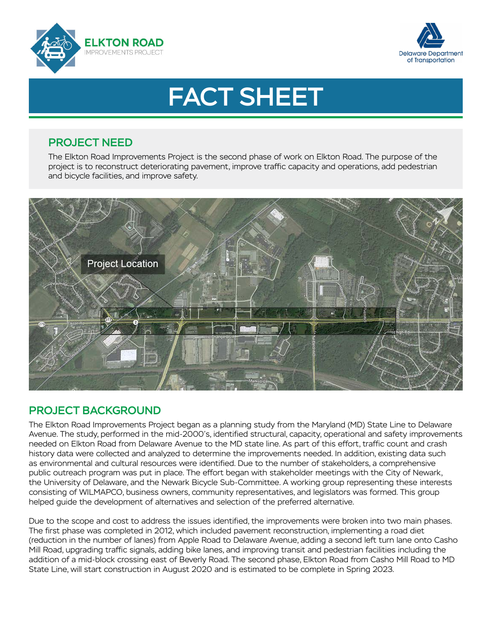



# FACT SHEET

### PROJECT NEED

The Elkton Road Improvements Project is the second phase of work on Elkton Road. The purpose of the project is to reconstruct deteriorating pavement, improve traffic capacity and operations, add pedestrian and bicycle facilities, and improve safety.



# PROJECT BACKGROUND

The Elkton Road Improvements Project began as a planning study from the Maryland (MD) State Line to Delaware Avenue. The study, performed in the mid-2000's, identified structural, capacity, operational and safety improvements needed on Elkton Road from Delaware Avenue to the MD state line. As part of this effort, traffic count and crash history data were collected and analyzed to determine the improvements needed. In addition, existing data such as environmental and cultural resources were identified. Due to the number of stakeholders, a comprehensive public outreach program was put in place. The effort began with stakeholder meetings with the City of Newark, the University of Delaware, and the Newark Bicycle Sub-Committee. A working group representing these interests consisting of WILMAPCO, business owners, community representatives, and legislators was formed. This group helped guide the development of alternatives and selection of the preferred alternative.

Due to the scope and cost to address the issues identified, the improvements were broken into two main phases. The first phase was completed in 2012, which included pavement reconstruction, implementing a road diet (reduction in the number of lanes) from Apple Road to Delaware Avenue, adding a second left turn lane onto Casho Mill Road, upgrading traffic signals, adding bike lanes, and improving transit and pedestrian facilities including the addition of a mid-block crossing east of Beverly Road. The second phase, Elkton Road from Casho Mill Road to MD State Line, will start construction in August 2020 and is estimated to be complete in Spring 2023.